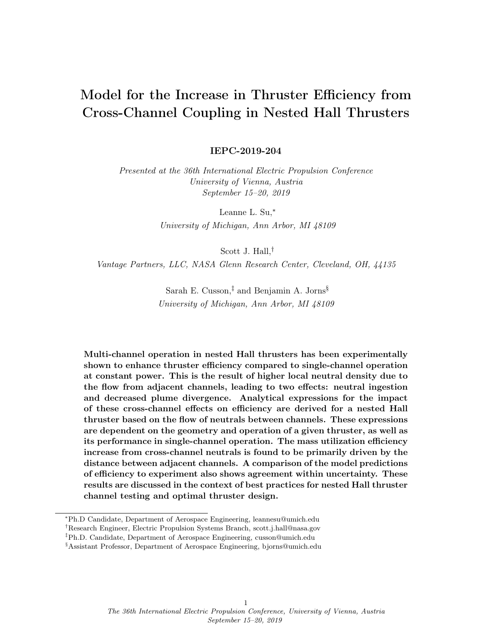# Model for the Increase in Thruster Efficiency from Cross-Channel Coupling in Nested Hall Thrusters

IEPC-2019-204

Presented at the 36th International Electric Propulsion Conference University of Vienna, Austria September 15–20, 2019

> Leanne L. Su,<sup>∗</sup> University of Michigan, Ann Arbor, MI 48109

> > Scott J. Hall,†

Vantage Partners, LLC, NASA Glenn Research Center, Cleveland, OH, 44135

Sarah E. Cusson,<sup>‡</sup> and Benjamin A. Jorns<sup>§</sup> University of Michigan, Ann Arbor, MI 48109

Multi-channel operation in nested Hall thrusters has been experimentally shown to enhance thruster efficiency compared to single-channel operation at constant power. This is the result of higher local neutral density due to the flow from adjacent channels, leading to two effects: neutral ingestion and decreased plume divergence. Analytical expressions for the impact of these cross-channel effects on efficiency are derived for a nested Hall thruster based on the flow of neutrals between channels. These expressions are dependent on the geometry and operation of a given thruster, as well as its performance in single-channel operation. The mass utilization efficiency increase from cross-channel neutrals is found to be primarily driven by the distance between adjacent channels. A comparison of the model predictions of efficiency to experiment also shows agreement within uncertainty. These results are discussed in the context of best practices for nested Hall thruster channel testing and optimal thruster design.

<sup>∗</sup>Ph.D Candidate, Department of Aerospace Engineering, leannesu@umich.edu

<sup>†</sup>Research Engineer, Electric Propulsion Systems Branch, scott.j.hall@nasa.gov

<sup>‡</sup>Ph.D. Candidate, Department of Aerospace Engineering, cusson@umich.edu

<sup>§</sup>Assistant Professor, Department of Aerospace Engineering, bjorns@umich.edu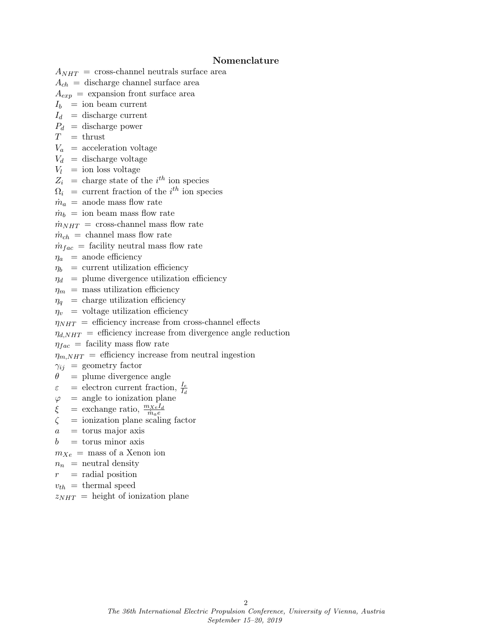#### Nomenclature

 $A_{NHT}$  = cross-channel neutrals surface area

- $A_{ch}$  = discharge channel surface area
- $A_{exp}$  = expansion front surface area
- $I_b$  = ion beam current
- $I_d$  = discharge current
- $P_d$  = discharge power
- $T = \text{thrust}$
- $V_a$  = acceleration voltage
- $V_d$  = discharge voltage
- $V_l$  = ion loss voltage
- $Z_i$  = charge state of the i<sup>th</sup> ion species
- $\Omega_i$  = current fraction of the *i*<sup>th</sup> ion species
- $\dot{m}_a$  = anode mass flow rate
- $\dot{m}_b = \text{ion beam mass flow rate}$

 $\dot{m}_{NHT}$  = cross-channel mass flow rate

 $\dot{m}_{ch}$  = channel mass flow rate

 $\dot{m}_{fac}$  = facility neutral mass flow rate

- $\eta_a$  = anode efficiency
- $\eta_b$  = current utilization efficiency
- $\eta_d$  = plume divergence utilization efficiency
- $\eta_m$  = mass utilization efficiency
- $\eta_q$  = charge utilization efficiency
- $\eta_v$  = voltage utilization efficiency

 $\eta_{NHT}$  = efficiency increase from cross-channel effects

 $\eta_{d,NHT}$  = efficiency increase from divergence angle reduction

 $\eta_{fac}$  = facility mass flow rate  $\eta_{m,NHT}$  = efficiency increase from neutral ingestion

 $\gamma_{ij}$  = geometry factor

- $\theta$  = plume divergence angle
- $\varepsilon$  = electron current fraction,  $\frac{I_e}{I_d}$
- $\varphi$  = angle to ionization plane
- $\xi$  = exchange ratio,  $\frac{m_{Xe}I_d}{m_a e}$
- $\zeta$  = ionization plane scaling factor
- $a =$  torus major axis
- $b =$  torus minor axis

 $m_{Xe}$  = mass of a Xenon ion

- $n_n$  = neutral density
- $r =$  radial position
- $v_{th}$  = thermal speed
- $z_{NHT}$  = height of ionization plane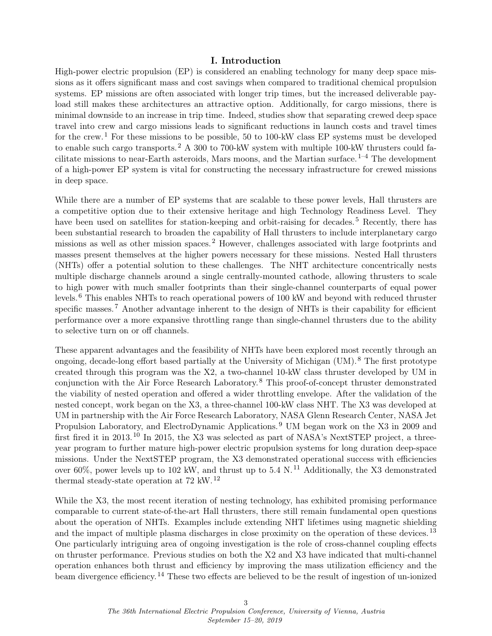#### I. Introduction

High-power electric propulsion (EP) is considered an enabling technology for many deep space missions as it offers significant mass and cost savings when compared to traditional chemical propulsion systems. EP missions are often associated with longer trip times, but the increased deliverable payload still makes these architectures an attractive option. Additionally, for cargo missions, there is minimal downside to an increase in trip time. Indeed, studies show that separating crewed deep space travel into crew and cargo missions leads to significant reductions in launch costs and travel times for the crew.<sup>[1](#page-17-0)</sup> For these missions to be possible, 50 to 100-kW class EP systems must be developed to enable such cargo transports.<sup>[2](#page-17-1)</sup> A 300 to 700-kW system with multiple 100-kW thrusters could facilitate missions to near-Earth asteroids, Mars moons, and the Martian surface.  $1-4$  $1-4$  The development of a high-power EP system is vital for constructing the necessary infrastructure for crewed missions in deep space.

While there are a number of EP systems that are scalable to these power levels, Hall thrusters are a competitive option due to their extensive heritage and high Technology Readiness Level. They have been used on satellites for station-keeping and orbit-raising for decades.<sup>[5](#page-17-3)</sup> Recently, there has been substantial research to broaden the capability of Hall thrusters to include interplanetary cargo missions as well as other mission spaces. [2](#page-17-1) However, challenges associated with large footprints and masses present themselves at the higher powers necessary for these missions. Nested Hall thrusters (NHTs) offer a potential solution to these challenges. The NHT architecture concentrically nests multiple discharge channels around a single centrally-mounted cathode, allowing thrusters to scale to high power with much smaller footprints than their single-channel counterparts of equal power levels.[6](#page-17-4) This enables NHTs to reach operational powers of 100 kW and beyond with reduced thruster specific masses.<sup>[7](#page-17-5)</sup> Another advantage inherent to the design of NHTs is their capability for efficient performance over a more expansive throttling range than single-channel thrusters due to the ability to selective turn on or off channels.

These apparent advantages and the feasibility of NHTs have been explored most recently through an ongoing, decade-long effort based partially at the University of Michigan (UM). [8](#page-17-6) The first prototype created through this program was the X2, a two-channel 10-kW class thruster developed by UM in conjunction with the Air Force Research Laboratory. [8](#page-17-6) This proof-of-concept thruster demonstrated the viability of nested operation and offered a wider throttling envelope. After the validation of the nested concept, work began on the X3, a three-channel 100-kW class NHT. The X3 was developed at UM in partnership with the Air Force Research Laboratory, NASA Glenn Research Center, NASA Jet Propulsion Laboratory, and ElectroDynamic Applications.<sup>[9](#page-17-7)</sup> UM began work on the X3 in 2009 and first fired it in 2013. [10](#page-17-8) In 2015, the X3 was selected as part of NASA's NextSTEP project, a threeyear program to further mature high-power electric propulsion systems for long duration deep-space missions. Under the NextSTEP program, the X3 demonstrated operational success with efficiencies over 60%, power levels up to 102 kW, and thrust up to 5.4 N.<sup>[11](#page-17-9)</sup> Additionally, the X3 demonstrated thermal steady-state operation at 72 kW. [12](#page-17-10)

While the X3, the most recent iteration of nesting technology, has exhibited promising performance comparable to current state-of-the-art Hall thrusters, there still remain fundamental open questions about the operation of NHTs. Examples include extending NHT lifetimes using magnetic shielding and the impact of multiple plasma discharges in close proximity on the operation of these devices.<sup>[13](#page-17-11)</sup> One particularly intriguing area of ongoing investigation is the role of cross-channel coupling effects on thruster performance. Previous studies on both the X2 and X3 have indicated that multi-channel operation enhances both thrust and efficiency by improving the mass utilization efficiency and the beam divergence efficiency. [14](#page-17-12) These two effects are believed to be the result of ingestion of un-ionized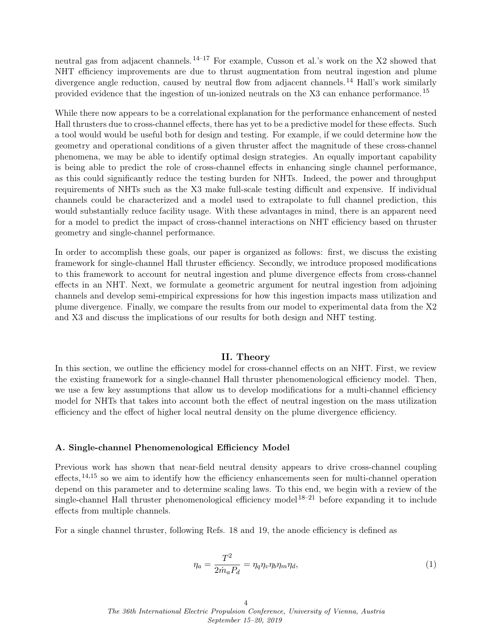neutral gas from adjacent channels. <sup>[14–](#page-17-12)[17](#page-17-13)</sup> For example, Cusson et al.'s work on the X2 showed that NHT efficiency improvements are due to thrust augmentation from neutral ingestion and plume divergence angle reduction, caused by neutral flow from adjacent channels.<sup>[14](#page-17-12)</sup> Hall's work similarly provided evidence that the ingestion of un-ionized neutrals on the X3 can enhance performance. [15](#page-17-14)

While there now appears to be a correlational explanation for the performance enhancement of nested Hall thrusters due to cross-channel effects, there has yet to be a predictive model for these effects. Such a tool would would be useful both for design and testing. For example, if we could determine how the geometry and operational conditions of a given thruster affect the magnitude of these cross-channel phenomena, we may be able to identify optimal design strategies. An equally important capability is being able to predict the role of cross-channel effects in enhancing single channel performance, as this could significantly reduce the testing burden for NHTs. Indeed, the power and throughput requirements of NHTs such as the X3 make full-scale testing difficult and expensive. If individual channels could be characterized and a model used to extrapolate to full channel prediction, this would substantially reduce facility usage. With these advantages in mind, there is an apparent need for a model to predict the impact of cross-channel interactions on NHT efficiency based on thruster geometry and single-channel performance.

In order to accomplish these goals, our paper is organized as follows: first, we discuss the existing framework for single-channel Hall thruster efficiency. Secondly, we introduce proposed modifications to this framework to account for neutral ingestion and plume divergence effects from cross-channel effects in an NHT. Next, we formulate a geometric argument for neutral ingestion from adjoining channels and develop semi-empirical expressions for how this ingestion impacts mass utilization and plume divergence. Finally, we compare the results from our model to experimental data from the X2 and X3 and discuss the implications of our results for both design and NHT testing.

### II. Theory

In this section, we outline the efficiency model for cross-channel effects on an NHT. First, we review the existing framework for a single-channel Hall thruster phenomenological efficiency model. Then, we use a few key assumptions that allow us to develop modifications for a multi-channel efficiency model for NHTs that takes into account both the effect of neutral ingestion on the mass utilization efficiency and the effect of higher local neutral density on the plume divergence efficiency.

#### A. Single-channel Phenomenological Efficiency Model

Previous work has shown that near-field neutral density appears to drive cross-channel coupling effects,  $14,15$  $14,15$  so we aim to identify how the efficiency enhancements seen for multi-channel operation depend on this parameter and to determine scaling laws. To this end, we begin with a review of the single-channel Hall thruster phenomenological efficiency model  $18-21$  $18-21$  before expanding it to include effects from multiple channels.

For a single channel thruster, following Refs. [18](#page-17-15) and [19,](#page-18-1) the anode efficiency is defined as

<span id="page-3-0"></span>
$$
\eta_a = \frac{T^2}{2\dot{m}_a P_d} = \eta_q \eta_v \eta_b \eta_m \eta_d,\tag{1}
$$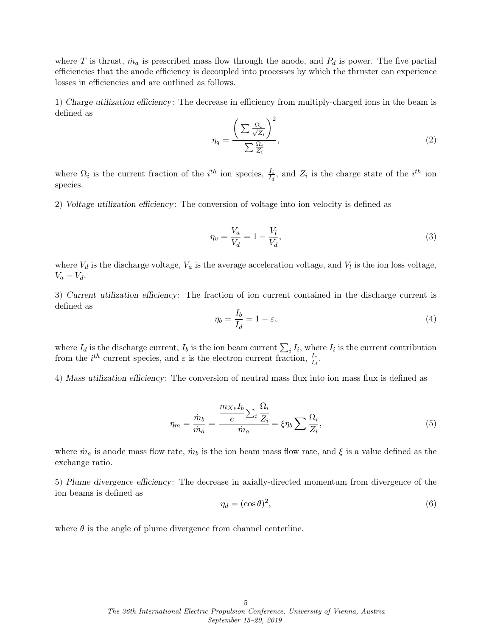where T is thrust,  $\dot{m}_a$  is prescribed mass flow through the anode, and  $P_d$  is power. The five partial efficiencies that the anode efficiency is decoupled into processes by which the thruster can experience losses in efficiencies and are outlined as follows.

1) Charge utilization efficiency: The decrease in efficiency from multiply-charged ions in the beam is defined as

$$
\eta_q = \frac{\left(\sum \frac{\Omega_i}{\sqrt{Z_i}}\right)^2}{\sum \frac{\Omega_i}{Z_i}},\tag{2}
$$

where  $\Omega_i$  is the current fraction of the  $i^{th}$  ion species,  $\frac{I_i}{I_d}$ , and  $Z_i$  is the charge state of the  $i^{th}$  ion species.

2) Voltage utilization efficiency: The conversion of voltage into ion velocity is defined as

<span id="page-4-0"></span>
$$
\eta_v = \frac{V_a}{V_d} = 1 - \frac{V_l}{V_d},\tag{3}
$$

where  $V_d$  is the discharge voltage,  $V_a$  is the average acceleration voltage, and  $V_l$  is the ion loss voltage,  $V_a - V_d$ .

3) Current utilization efficiency: The fraction of ion current contained in the discharge current is defined as

<span id="page-4-1"></span>
$$
\eta_b = \frac{I_b}{I_d} = 1 - \varepsilon,\tag{4}
$$

where  $I_d$  is the discharge current,  $I_b$  is the ion beam current  $\sum_i I_i$ , where  $I_i$  is the current contribution from the  $i^{th}$  current species, and  $\varepsilon$  is the electron current fraction,  $\frac{I_e}{I_d}$ .

4) Mass utilization efficiency: The conversion of neutral mass flux into ion mass flux is defined as

<span id="page-4-2"></span>
$$
\eta_m = \frac{\dot{m}_b}{\dot{m}_a} = \frac{\frac{m_{Xe}I_b}{e} \sum_i \frac{\Omega_i}{Z_i}}{\dot{m}_a} = \xi \eta_b \sum \frac{\Omega_i}{Z_i},\tag{5}
$$

where  $\dot{m}_a$  is anode mass flow rate,  $\dot{m}_b$  is the ion beam mass flow rate, and  $\xi$  is a value defined as the exchange ratio.

5) Plume divergence efficiency: The decrease in axially-directed momentum from divergence of the ion beams is defined as

$$
\eta_d = (\cos \theta)^2,\tag{6}
$$

where  $\theta$  is the angle of plume divergence from channel centerline.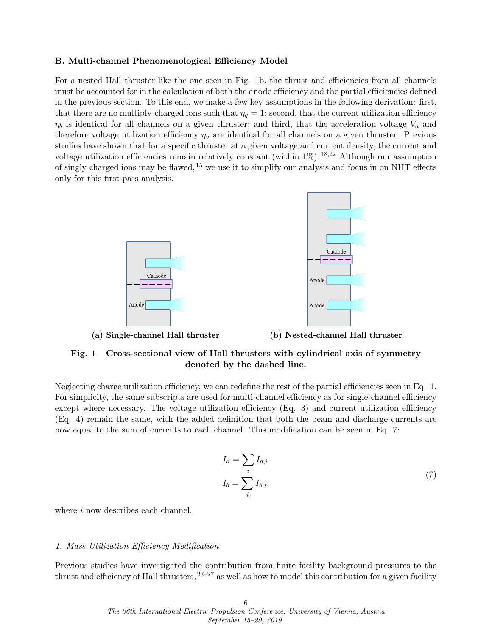#### B. Multi-channel Phenomenological Efficiency Model

For a nested Hall thruster like the one seen in Fig. [1b,](#page-5-0) the thrust and efficiencies from all channels must be accounted for in the calculation of both the anode efficiency and the partial efficiencies defined in the previous section. To this end, we make a few key assumptions in the following derivation: first, that there are no multiply-charged ions such that  $\eta_q = 1$ ; second, that the current utilization efficiency  $\eta_b$  is identical for all channels on a given thruster; and third, that the acceleration voltage  $V_a$  and therefore voltage utilization efficiency  $\eta_v$  are identical for all channels on a given thruster. Previous studies have shown that for a specific thruster at a given voltage and current density, the current and voltage utilization efficiencies remain relatively constant (within  $1\%$ ). <sup>[18,](#page-17-15)[22](#page-18-2)</sup> Although our assumption of singly-charged ions may be flawed,  $^{15}$  $^{15}$  $^{15}$  we use it to simplify our analysis and focus in on NHT effects only for this first-pass analysis.

<span id="page-5-0"></span>

(a) Single-channel Hall thruster (b) Nested-channel Hall thruster

## Fig. 1 Cross-sectional view of Hall thrusters with cylindrical axis of symmetry denoted by the dashed line.

Neglecting charge utilization efficiency, we can redefine the rest of the partial efficiencies seen in Eq. [1.](#page-3-0) For simplicity, the same subscripts are used for multi-channel efficiency as for single-channel efficiency except where necessary. The voltage utilization efficiency (Eq. [3\)](#page-4-0) and current utilization efficiency (Eq. [4\)](#page-4-1) remain the same, with the added definition that both the beam and discharge currents are now equal to the sum of currents to each channel. This modification can be seen in Eq. [7:](#page-5-1)

$$
I_d = \sum_i I_{d,i}
$$
  

$$
I_b = \sum_i I_{b,i},
$$
 (7)

<span id="page-5-1"></span>where i now describes each channel.

#### 1. Mass Utilization Efficiency Modification

Previous studies have investigated the contribution from finite facility background pressures to the thrust and efficiency of Hall thrusters,  $23-27$  $23-27$  as well as how to model this contribution for a given facility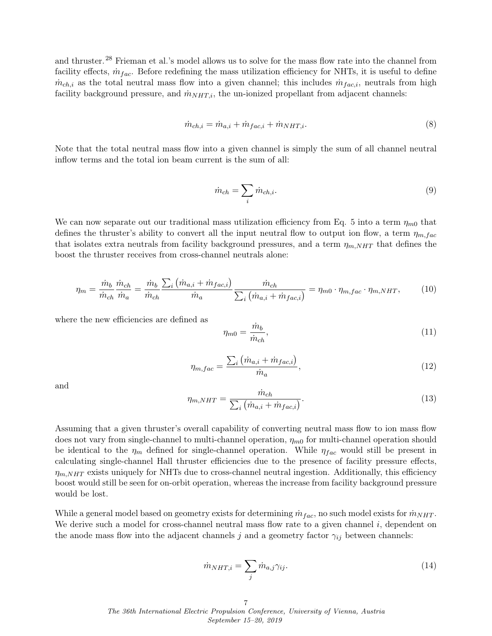and thruster.[28](#page-18-5) Frieman et al.'s model allows us to solve for the mass flow rate into the channel from facility effects,  $\dot{m}_{fac}$ . Before redefining the mass utilization efficiency for NHTs, it is useful to define  $\dot{m}_{ch,i}$  as the total neutral mass flow into a given channel; this includes  $\dot{m}_{fac,i}$ , neutrals from high facility background pressure, and  $\dot{m}_{NHT,i}$ , the un-ionized propellant from adjacent channels:

$$
\dot{m}_{ch,i} = \dot{m}_{a,i} + \dot{m}_{fac,i} + \dot{m}_{NHT,i}.\tag{8}
$$

Note that the total neutral mass flow into a given channel is simply the sum of all channel neutral inflow terms and the total ion beam current is the sum of all:

$$
\dot{m}_{ch} = \sum_{i} \dot{m}_{ch,i}.\tag{9}
$$

We can now separate out our traditional mass utilization efficiency from Eq. [5](#page-4-2) into a term  $\eta_{m0}$  that defines the thruster's ability to convert all the input neutral flow to output ion flow, a term  $\eta_{m,fac}$ that isolates extra neutrals from facility background pressures, and a term  $\eta_{m,NHT}$  that defines the boost the thruster receives from cross-channel neutrals alone:

$$
\eta_m = \frac{\dot{m}_b}{\dot{m}_{ch}} \frac{\dot{m}_{ch}}{\dot{m}_a} = \frac{\dot{m}_b}{\dot{m}_{ch}} \frac{\sum_i \left( \dot{m}_{a,i} + \dot{m}_{fac,i} \right)}{\dot{m}_a} \frac{\dot{m}_{ch}}{\sum_i \left( \dot{m}_{a,i} + \dot{m}_{fac,i} \right)} = \eta_{m0} \cdot \eta_{m,fac} \cdot \eta_{m,NHT},\tag{10}
$$

where the new efficiencies are defined as

$$
\eta_{m0} = \frac{\dot{m}_b}{\dot{m}_{ch}},\tag{11}
$$

$$
\eta_{m,fac} = \frac{\sum_{i} \left( \dot{m}_{a,i} + \dot{m}_{fac,i} \right)}{\dot{m}_a},\tag{12}
$$

and

<span id="page-6-1"></span>
$$
\eta_{m,NHT} = \frac{\dot{m}_{ch}}{\sum_{i} \left( \dot{m}_{a,i} + \dot{m}_{fac,i} \right)}.
$$
\n(13)

Assuming that a given thruster's overall capability of converting neutral mass flow to ion mass flow does not vary from single-channel to multi-channel operation,  $\eta_{m0}$  for multi-channel operation should be identical to the  $\eta_m$  defined for single-channel operation. While  $\eta_{fac}$  would still be present in calculating single-channel Hall thruster efficiencies due to the presence of facility pressure effects,  $\eta_{m,NHT}$  exists uniquely for NHTs due to cross-channel neutral ingestion. Additionally, this efficiency boost would still be seen for on-orbit operation, whereas the increase from facility background pressure would be lost.

While a general model based on geometry exists for determining  $\dot{m}_{fac}$ , no such model exists for  $\dot{m}_{NHT}$ . We derive such a model for cross-channel neutral mass flow rate to a given channel  $i$ , dependent on the anode mass flow into the adjacent channels j and a geometry factor  $\gamma_{ij}$  between channels:

<span id="page-6-0"></span>
$$
\dot{m}_{NHT,i} = \sum_{j} \dot{m}_{a,j} \gamma_{ij}.
$$
\n(14)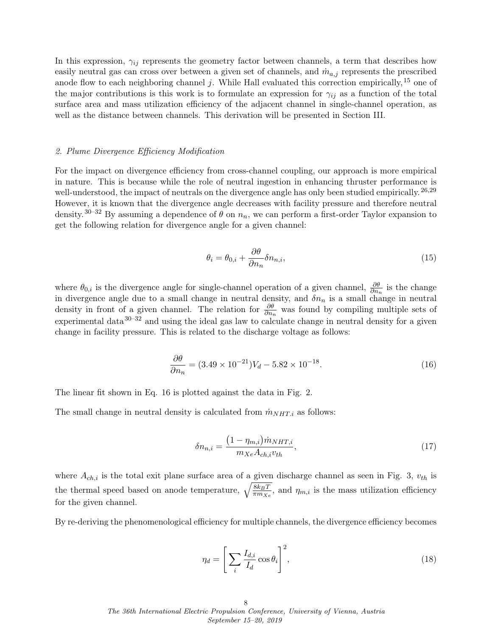In this expression,  $\gamma_{ij}$  represents the geometry factor between channels, a term that describes how easily neutral gas can cross over between a given set of channels, and  $\dot{m}_{a,j}$  represents the prescribed anode flow to each neighboring channel j. While Hall evaluated this correction empirically,  $^{15}$  $^{15}$  $^{15}$  one of the major contributions is this work is to formulate an expression for  $\gamma_{ij}$  as a function of the total surface area and mass utilization efficiency of the adjacent channel in single-channel operation, as well as the distance between channels. This derivation will be presented in Section [III.](#page-9-0)

## 2. Plume Divergence Efficiency Modification

For the impact on divergence efficiency from cross-channel coupling, our approach is more empirical in nature. This is because while the role of neutral ingestion in enhancing thruster performance is well-understood, the impact of neutrals on the divergence angle has only been studied empirically. <sup>[26,](#page-18-6)[29](#page-18-7)</sup> However, it is known that the divergence angle decreases with facility pressure and therefore neutral density.<sup>[30–](#page-18-8)[32](#page-18-9)</sup> By assuming a dependence of  $\theta$  on  $n_n$ , we can perform a first-order Taylor expansion to get the following relation for divergence angle for a given channel:

<span id="page-7-1"></span>
$$
\theta_i = \theta_{0,i} + \frac{\partial \theta}{\partial n_n} \delta n_{n,i},\tag{15}
$$

where  $\theta_{0,i}$  is the divergence angle for single-channel operation of a given channel,  $\frac{\partial \theta}{\partial n_n}$  is the change in divergence angle due to a small change in neutral density, and  $\delta n_n$  is a small change in neutral density in front of a given channel. The relation for  $\frac{\partial \theta}{\partial n_n}$  was found by compiling multiple sets of experimental data  $30-32$  $30-32$  and using the ideal gas law to calculate change in neutral density for a given change in facility pressure. This is related to the discharge voltage as follows:

<span id="page-7-0"></span>
$$
\frac{\partial \theta}{\partial n_n} = (3.49 \times 10^{-21})V_d - 5.82 \times 10^{-18}.\tag{16}
$$

The linear fit shown in Eq. [16](#page-7-0) is plotted against the data in Fig. [2.](#page-8-0)

The small change in neutral density is calculated from  $\dot{m}_{NHT,i}$  as follows:

<span id="page-7-2"></span>
$$
\delta n_{n,i} = \frac{\left(1 - \eta_{m,i}\right) \dot{m}_{NHT,i}}{m_{Xe} A_{ch,i} v_{th}},\tag{17}
$$

where  $A_{ch,i}$  is the total exit plane surface area of a given discharge channel as seen in Fig. [3,](#page-9-1)  $v_{th}$  is the thermal speed based on anode temperature,  $\sqrt{\frac{8k_BT}{\pi m_{Xe}}},$  and  $\eta_{m,i}$  is the mass utilization efficiency for the given channel.

By re-deriving the phenomenological efficiency for multiple channels, the divergence efficiency becomes

$$
\eta_d = \left[ \sum_i \frac{I_{d,i}}{I_d} \cos \theta_i \right]^2,\tag{18}
$$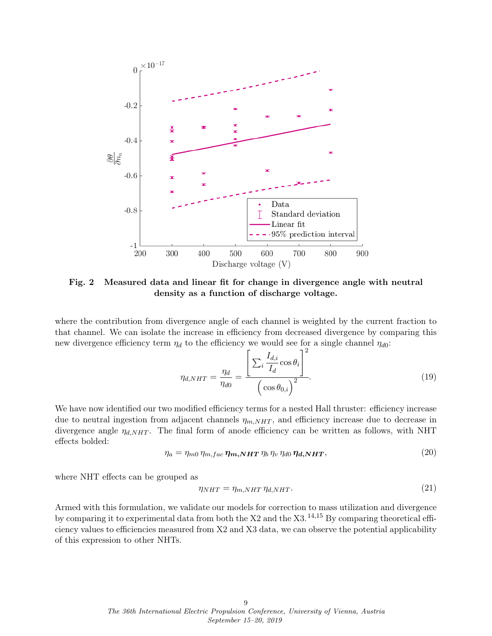<span id="page-8-0"></span>

Fig. 2 Measured data and linear fit for change in divergence angle with neutral density as a function of discharge voltage.

where the contribution from divergence angle of each channel is weighted by the current fraction to that channel. We can isolate the increase in efficiency from decreased divergence by comparing this new divergence efficiency term  $\eta_d$  to the efficiency we would see for a single channel  $\eta_{d0}$ :

<span id="page-8-1"></span>
$$
\eta_{d,NHT} = \frac{\eta_d}{\eta_{d0}} = \frac{\left[\sum_i \frac{I_{d,i}}{I_d} \cos \theta_i\right]^2}{\left(\cos \theta_{0,i}\right)^2}.
$$
\n(19)

We have now identified our two modified efficiency terms for a nested Hall thruster: efficiency increase due to neutral ingestion from adjacent channels  $\eta_{m,NHT}$ , and efficiency increase due to decrease in divergence angle  $\eta_{d,NHT}$ . The final form of anode efficiency can be written as follows, with NHT effects bolded:

$$
\eta_a = \eta_{m0} \, \eta_{m,fac} \, \eta_{m,NHT} \, \eta_b \, \eta_v \, \eta_{d0} \, \eta_{d,NHT},\tag{20}
$$

where NHT effects can be grouped as

$$
\eta_{NHT} = \eta_{m,NHT} \eta_{d,NHT}.
$$
\n(21)

Armed with this formulation, we validate our models for correction to mass utilization and divergence by comparing it to experimental data from both the  $X2$  and the  $X3$ . <sup>[14](#page-17-12)[,15](#page-17-14)</sup> By comparing theoretical efficiency values to efficiencies measured from X2 and X3 data, we can observe the potential applicability of this expression to other NHTs.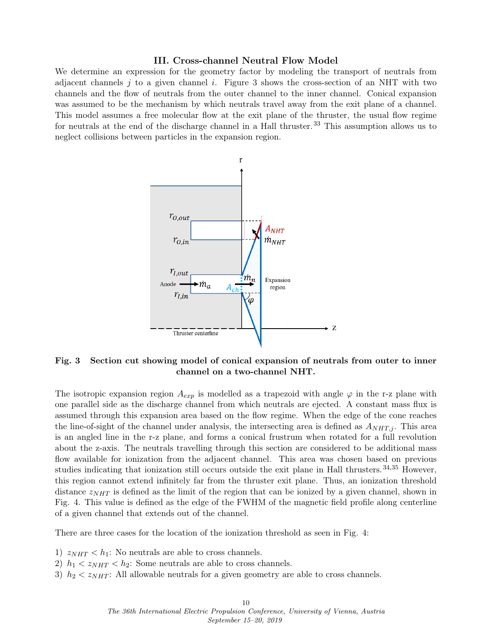#### III. Cross-channel Neutral Flow Model

<span id="page-9-1"></span><span id="page-9-0"></span>We determine an expression for the geometry factor by modeling the transport of neutrals from adjacent channels j to a given channel i. Figure [3](#page-9-1) shows the cross-section of an NHT with two channels and the flow of neutrals from the outer channel to the inner channel. Conical expansion was assumed to be the mechanism by which neutrals travel away from the exit plane of a channel. This model assumes a free molecular flow at the exit plane of the thruster, the usual flow regime for neutrals at the end of the discharge channel in a Hall thruster.<sup>[33](#page-18-10)</sup> This assumption allows us to neglect collisions between particles in the expansion region.



Fig. 3 Section cut showing model of conical expansion of neutrals from outer to inner channel on a two-channel NHT.

The isotropic expansion region  $A_{exp}$  is modelled as a trapezoid with angle  $\varphi$  in the r-z plane with one parallel side as the discharge channel from which neutrals are ejected. A constant mass flux is assumed through this expansion area based on the flow regime. When the edge of the cone reaches the line-of-sight of the channel under analysis, the intersecting area is defined as  $A_{NHT,i}$ . This area is an angled line in the r-z plane, and forms a conical frustrum when rotated for a full revolution about the z-axis. The neutrals travelling through this section are considered to be additional mass flow available for ionization from the adjacent channel. This area was chosen based on previous studies indicating that ionization still occurs outside the exit plane in Hall thrusters. [34,](#page-18-11)[35](#page-18-12) However, this region cannot extend infinitely far from the thruster exit plane. Thus, an ionization threshold distance  $z_{NHT}$  is defined as the limit of the region that can be ionized by a given channel, shown in Fig. [4.](#page-10-0) This value is defined as the edge of the FWHM of the magnetic field profile along centerline of a given channel that extends out of the channel.

There are three cases for the location of the ionization threshold as seen in Fig. [4:](#page-10-0)

- 1)  $z_{NHT} < h_1$ : No neutrals are able to cross channels.
- 2)  $h_1 < z_{NHT} < h_2$ : Some neutrals are able to cross channels.
- 3)  $h_2 < z<sub>NHT</sub>$ : All allowable neutrals for a given geometry are able to cross channels.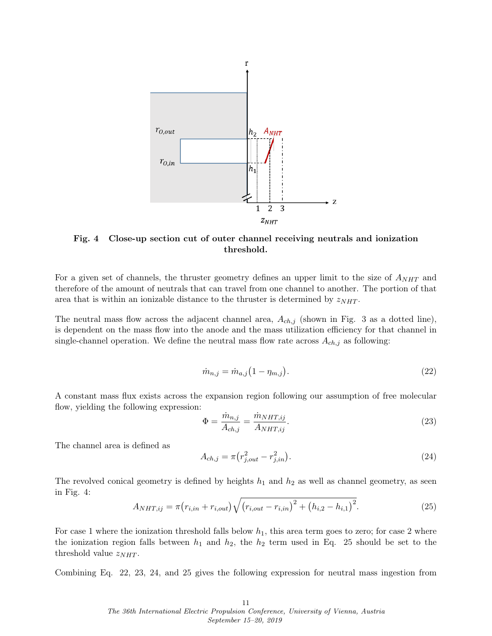<span id="page-10-0"></span>

Fig. 4 Close-up section cut of outer channel receiving neutrals and ionization threshold.

For a given set of channels, the thruster geometry defines an upper limit to the size of  $A_{NHT}$  and therefore of the amount of neutrals that can travel from one channel to another. The portion of that area that is within an ionizable distance to the thruster is determined by  $z_{NHT}$ .

The neutral mass flow across the adjacent channel area,  $A_{ch,j}$  (shown in Fig. [3](#page-9-1) as a dotted line), is dependent on the mass flow into the anode and the mass utilization efficiency for that channel in single-channel operation. We define the neutral mass flow rate across  $A_{ch,j}$  as following:

<span id="page-10-2"></span>
$$
\dot{m}_{n,j} = \dot{m}_{a,j} (1 - \eta_{m,j}). \tag{22}
$$

A constant mass flux exists across the expansion region following our assumption of free molecular flow, yielding the following expression:

<span id="page-10-3"></span>
$$
\Phi = \frac{\dot{m}_{n,j}}{A_{ch,j}} = \frac{\dot{m}_{NHT,ij}}{A_{NHT,ij}}.\tag{23}
$$

The channel area is defined as

<span id="page-10-4"></span>
$$
A_{ch,j} = \pi (r_{j,out}^2 - r_{j,in}^2). \tag{24}
$$

The revolved conical geometry is defined by heights  $h_1$  and  $h_2$  as well as channel geometry, as seen in Fig. [4:](#page-10-0)

<span id="page-10-1"></span>
$$
A_{NHT,ij} = \pi (r_{i,in} + r_{i,out}) \sqrt{(r_{i,out} - r_{i,in})^2 + (h_{i,2} - h_{i,1})^2}.
$$
 (25)

For case 1 where the ionization threshold falls below  $h_1$ , this area term goes to zero; for case 2 where the ionization region falls between  $h_1$  and  $h_2$ , the  $h_2$  term used in Eq. [25](#page-10-1) should be set to the threshold value  $z_{NHT}$ .

Combining Eq. [22,](#page-10-2) [23,](#page-10-3) [24,](#page-10-4) and [25](#page-10-1) gives the following expression for neutral mass ingestion from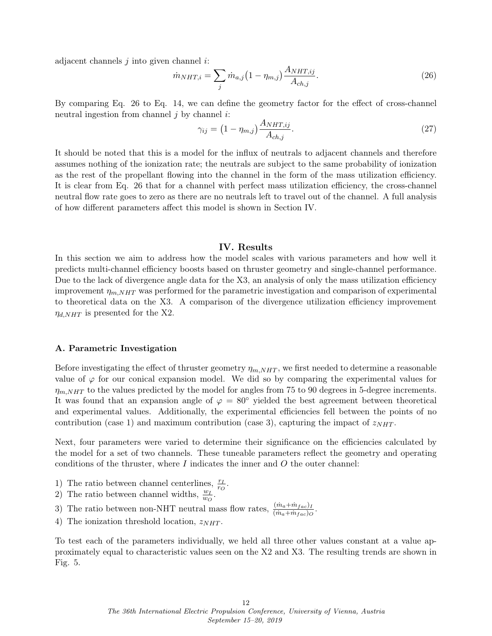adjacent channels  $j$  into given channel  $i$ :

<span id="page-11-0"></span>
$$
\dot{m}_{NHT,i} = \sum_{j} \dot{m}_{a,j} \left( 1 - \eta_{m,j} \right) \frac{A_{NHT,ij}}{A_{ch,j}}.
$$
\n(26)

By comparing Eq. [26](#page-11-0) to Eq. [14,](#page-6-0) we can define the geometry factor for the effect of cross-channel neutral ingestion from channel  $j$  by channel  $i$ :

$$
\gamma_{ij} = \left(1 - \eta_{m,j}\right) \frac{A_{NHT,ij}}{A_{ch,j}}.\tag{27}
$$

It should be noted that this is a model for the influx of neutrals to adjacent channels and therefore assumes nothing of the ionization rate; the neutrals are subject to the same probability of ionization as the rest of the propellant flowing into the channel in the form of the mass utilization efficiency. It is clear from Eq. [26](#page-11-0) that for a channel with perfect mass utilization efficiency, the cross-channel neutral flow rate goes to zero as there are no neutrals left to travel out of the channel. A full analysis of how different parameters affect this model is shown in Section [IV.](#page-11-1)

## IV. Results

<span id="page-11-1"></span>In this section we aim to address how the model scales with various parameters and how well it predicts multi-channel efficiency boosts based on thruster geometry and single-channel performance. Due to the lack of divergence angle data for the X3, an analysis of only the mass utilization efficiency improvement  $\eta_{m,NHT}$  was performed for the parametric investigation and comparison of experimental to theoretical data on the X3. A comparison of the divergence utilization efficiency improvement  $\eta_{d,NHT}$  is presented for the X2.

#### A. Parametric Investigation

Before investigating the effect of thruster geometry  $\eta_{m,NHT}$ , we first needed to determine a reasonable value of  $\varphi$  for our conical expansion model. We did so by comparing the experimental values for  $\eta_{m,NHT}$  to the values predicted by the model for angles from 75 to 90 degrees in 5-degree increments. It was found that an expansion angle of  $\varphi = 80^\circ$  yielded the best agreement between theoretical and experimental values. Additionally, the experimental efficiencies fell between the points of no contribution (case 1) and maximum contribution (case 3), capturing the impact of  $z_{NHT}$ .

Next, four parameters were varied to determine their significance on the efficiencies calculated by the model for a set of two channels. These tuneable parameters reflect the geometry and operating conditions of the thruster, where  $I$  indicates the inner and  $O$  the outer channel:

- 1) The ratio between channel centerlines,  $\frac{r_I}{r_O}$ .
- 2) The ratio between channel widths,  $\frac{w_I}{w_O}$ .
- 3) The ratio between non-NHT neutral mass flow rates,  $\frac{(\dot{m}_a + \dot{m}_{fac})_I}{(\dot{m}_a + \dot{m}_{fac})_O}$ .
- 4) The ionization threshold location,  $z_{NHT}$ .

To test each of the parameters individually, we held all three other values constant at a value approximately equal to characteristic values seen on the X2 and X3. The resulting trends are shown in Fig. [5.](#page-12-0)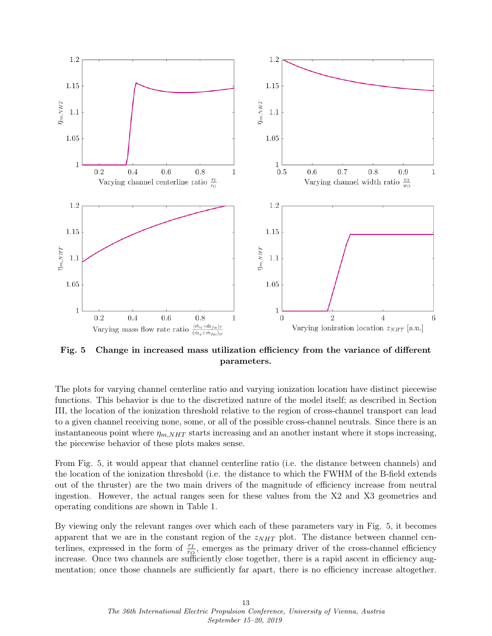<span id="page-12-0"></span>

Fig. 5 Change in increased mass utilization efficiency from the variance of different parameters.

The plots for varying channel centerline ratio and varying ionization location have distinct piecewise functions. This behavior is due to the discretized nature of the model itself; as described in Section [III,](#page-9-0) the location of the ionization threshold relative to the region of cross-channel transport can lead to a given channel receiving none, some, or all of the possible cross-channel neutrals. Since there is an instantaneous point where  $\eta_{m,NHT}$  starts increasing and an another instant where it stops increasing, the piecewise behavior of these plots makes sense.

From Fig. [5,](#page-12-0) it would appear that channel centerline ratio (i.e. the distance between channels) and the location of the ionization threshold (i.e. the distance to which the FWHM of the B-field extends out of the thruster) are the two main drivers of the magnitude of efficiency increase from neutral ingestion. However, the actual ranges seen for these values from the X2 and X3 geometries and operating conditions are shown in Table [1.](#page-13-0)

By viewing only the relevant ranges over which each of these parameters vary in Fig. [5,](#page-12-0) it becomes apparent that we are in the constant region of the  $z_{NHT}$  plot. The distance between channel centerlines, expressed in the form of  $\frac{r_I}{r_Q}$ , emerges as the primary driver of the cross-channel efficiency increase. Once two channels are sufficiently close together, there is a rapid ascent in efficiency augmentation; once those channels are sufficiently far apart, there is no efficiency increase altogether.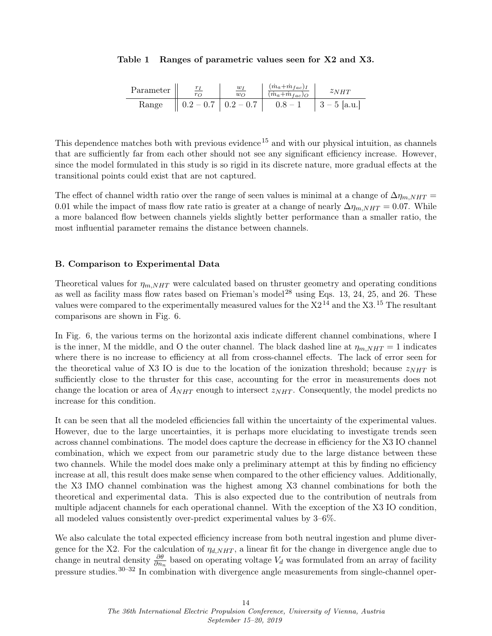#### <span id="page-13-0"></span>Table 1 Ranges of parametric values seen for X2 and X3.

| Parameter | $w_1$<br>$w_{\Omega}$ | $(\dot{m}_a + \dot{m}_{fac})_I$<br>$(\dot{m}_a + \dot{m}_{fac})_O$ | $\mathcal Z N H T$ |
|-----------|-----------------------|--------------------------------------------------------------------|--------------------|
| Range     | $0.2-0.7$   $0.2-0.7$ | $0.8 - 1$                                                          | $ 3-5$ [a.u.]      |

This dependence matches both with previous evidence<sup>[15](#page-17-14)</sup> and with our physical intuition, as channels that are sufficiently far from each other should not see any significant efficiency increase. However, since the model formulated in this study is so rigid in its discrete nature, more gradual effects at the transitional points could exist that are not captured.

The effect of channel width ratio over the range of seen values is minimal at a change of  $\Delta \eta_{m,NHT}$  = 0.01 while the impact of mass flow rate ratio is greater at a change of nearly  $\Delta \eta_{m,NHT} = 0.07$ . While a more balanced flow between channels yields slightly better performance than a smaller ratio, the most influential parameter remains the distance between channels.

#### B. Comparison to Experimental Data

Theoretical values for  $\eta_{m,NHT}$  were calculated based on thruster geometry and operating conditions as well as facility mass flow rates based on Frieman's model [28](#page-18-5) using Eqs. [13,](#page-6-1) [24,](#page-10-4) [25,](#page-10-1) and [26.](#page-11-0) These values were compared to the experimentally measured values for the  $X2^{14}$  $X2^{14}$  $X2^{14}$  and the X3.<sup>[15](#page-17-14)</sup> The resultant comparisons are shown in Fig. [6.](#page-14-0)

In Fig. [6,](#page-14-0) the various terms on the horizontal axis indicate different channel combinations, where I is the inner, M the middle, and O the outer channel. The black dashed line at  $\eta_{m,NHT} = 1$  indicates where there is no increase to efficiency at all from cross-channel effects. The lack of error seen for the theoretical value of X3 IO is due to the location of the ionization threshold; because  $z_{NHT}$  is sufficiently close to the thruster for this case, accounting for the error in measurements does not change the location or area of  $A_{NHT}$  enough to intersect  $z_{NHT}$ . Consequently, the model predicts no increase for this condition.

It can be seen that all the modeled efficiencies fall within the uncertainty of the experimental values. However, due to the large uncertainties, it is perhaps more elucidating to investigate trends seen across channel combinations. The model does capture the decrease in efficiency for the X3 IO channel combination, which we expect from our parametric study due to the large distance between these two channels. While the model does make only a preliminary attempt at this by finding no efficiency increase at all, this result does make sense when compared to the other efficiency values. Additionally, the X3 IMO channel combination was the highest among X3 channel combinations for both the theoretical and experimental data. This is also expected due to the contribution of neutrals from multiple adjacent channels for each operational channel. With the exception of the X3 IO condition, all modeled values consistently over-predict experimental values by 3–6%.

We also calculate the total expected efficiency increase from both neutral ingestion and plume divergence for the X2. For the calculation of  $\eta_{d,NHT}$ , a linear fit for the change in divergence angle due to change in neutral density  $\frac{\partial \theta}{\partial n_n}$  based on operating voltage  $V_d$  was formulated from an array of facility pressure studies.[30–](#page-18-8)[32](#page-18-9) In combination with divergence angle measurements from single-channel oper-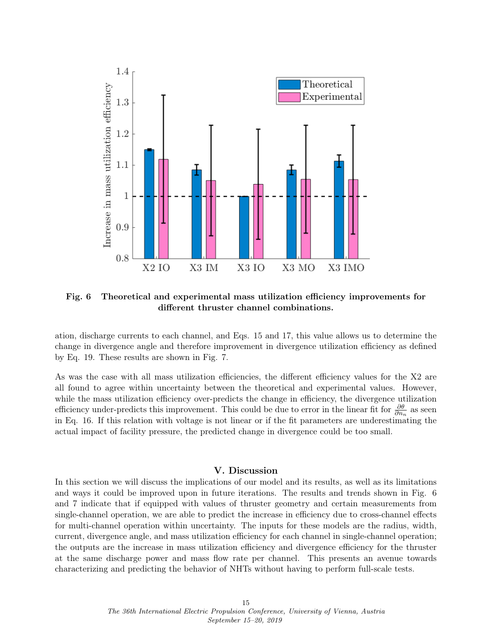<span id="page-14-0"></span>

Fig. 6 Theoretical and experimental mass utilization efficiency improvements for different thruster channel combinations.

ation, discharge currents to each channel, and Eqs. [15](#page-7-1) and [17,](#page-7-2) this value allows us to determine the change in divergence angle and therefore improvement in divergence utilization efficiency as defined by Eq. [19.](#page-8-1) These results are shown in Fig. [7.](#page-15-0)

As was the case with all mass utilization efficiencies, the different efficiency values for the X2 are all found to agree within uncertainty between the theoretical and experimental values. However, while the mass utilization efficiency over-predicts the change in efficiency, the divergence utilization efficiency under-predicts this improvement. This could be due to error in the linear fit for  $\frac{\partial \theta}{\partial n_n}$  as seen in Eq. [16.](#page-7-0) If this relation with voltage is not linear or if the fit parameters are underestimating the actual impact of facility pressure, the predicted change in divergence could be too small.

## V. Discussion

In this section we will discuss the implications of our model and its results, as well as its limitations and ways it could be improved upon in future iterations. The results and trends shown in Fig. [6](#page-14-0) and [7](#page-15-0) indicate that if equipped with values of thruster geometry and certain measurements from single-channel operation, we are able to predict the increase in efficiency due to cross-channel effects for multi-channel operation within uncertainty. The inputs for these models are the radius, width, current, divergence angle, and mass utilization efficiency for each channel in single-channel operation; the outputs are the increase in mass utilization efficiency and divergence efficiency for the thruster at the same discharge power and mass flow rate per channel. This presents an avenue towards characterizing and predicting the behavior of NHTs without having to perform full-scale tests.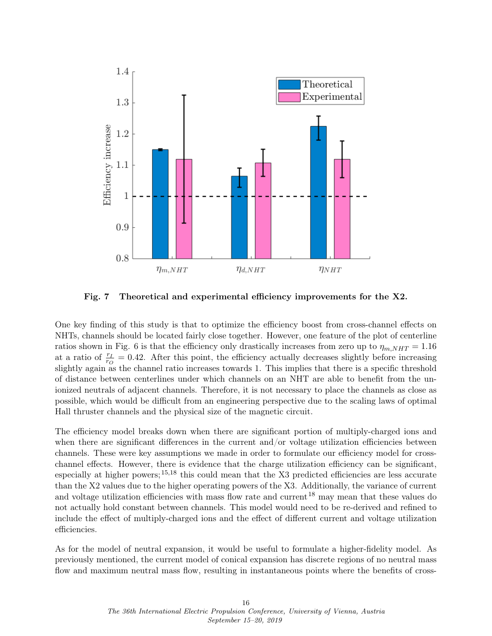<span id="page-15-0"></span>

Fig. 7 Theoretical and experimental efficiency improvements for the X2.

One key finding of this study is that to optimize the efficiency boost from cross-channel effects on NHTs, channels should be located fairly close together. However, one feature of the plot of centerline ratios shown in Fig. [6](#page-14-0) is that the efficiency only drastically increases from zero up to  $\eta_{m,NHT} = 1.16$ at a ratio of  $\frac{r_I}{r_O} = 0.42$ . After this point, the efficiency actually decreases slightly before increasing slightly again as the channel ratio increases towards 1. This implies that there is a specific threshold of distance between centerlines under which channels on an NHT are able to benefit from the unionized neutrals of adjacent channels. Therefore, it is not necessary to place the channels as close as possible, which would be difficult from an engineering perspective due to the scaling laws of optimal Hall thruster channels and the physical size of the magnetic circuit.

The efficiency model breaks down when there are significant portion of multiply-charged ions and when there are significant differences in the current and/or voltage utilization efficiencies between channels. These were key assumptions we made in order to formulate our efficiency model for crosschannel effects. However, there is evidence that the charge utilization efficiency can be significant, especially at higher powers; [15,](#page-17-14)[18](#page-17-15) this could mean that the X3 predicted efficiencies are less accurate than the X2 values due to the higher operating powers of the X3. Additionally, the variance of current and voltage utilization efficiencies with mass flow rate and current <sup>[18](#page-17-15)</sup> may mean that these values do not actually hold constant between channels. This model would need to be re-derived and refined to include the effect of multiply-charged ions and the effect of different current and voltage utilization efficiencies.

As for the model of neutral expansion, it would be useful to formulate a higher-fidelity model. As previously mentioned, the current model of conical expansion has discrete regions of no neutral mass flow and maximum neutral mass flow, resulting in instantaneous points where the benefits of cross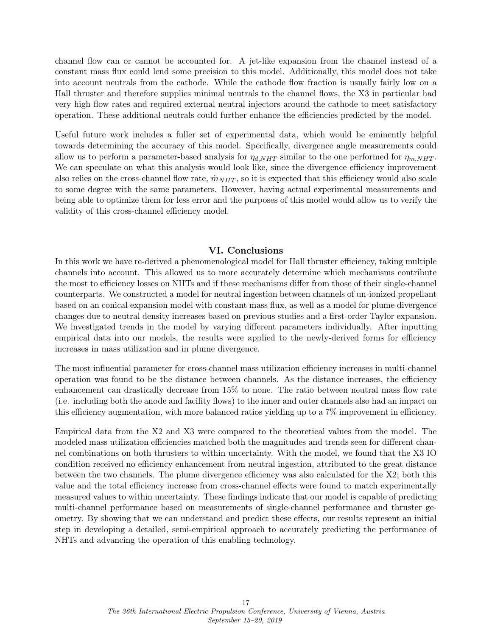channel flow can or cannot be accounted for. A jet-like expansion from the channel instead of a constant mass flux could lend some precision to this model. Additionally, this model does not take into account neutrals from the cathode. While the cathode flow fraction is usually fairly low on a Hall thruster and therefore supplies minimal neutrals to the channel flows, the X3 in particular had very high flow rates and required external neutral injectors around the cathode to meet satisfactory operation. These additional neutrals could further enhance the efficiencies predicted by the model.

Useful future work includes a fuller set of experimental data, which would be eminently helpful towards determining the accuracy of this model. Specifically, divergence angle measurements could allow us to perform a parameter-based analysis for  $\eta_{d,NHT}$  similar to the one performed for  $\eta_{m,NHT}$ . We can speculate on what this analysis would look like, since the divergence efficiency improvement also relies on the cross-channel flow rate,  $\dot{m}_{NHT}$ , so it is expected that this efficiency would also scale to some degree with the same parameters. However, having actual experimental measurements and being able to optimize them for less error and the purposes of this model would allow us to verify the validity of this cross-channel efficiency model.

## VI. Conclusions

In this work we have re-derived a phenomenological model for Hall thruster efficiency, taking multiple channels into account. This allowed us to more accurately determine which mechanisms contribute the most to efficiency losses on NHTs and if these mechanisms differ from those of their single-channel counterparts. We constructed a model for neutral ingestion between channels of un-ionized propellant based on an conical expansion model with constant mass flux, as well as a model for plume divergence changes due to neutral density increases based on previous studies and a first-order Taylor expansion. We investigated trends in the model by varying different parameters individually. After inputting empirical data into our models, the results were applied to the newly-derived forms for efficiency increases in mass utilization and in plume divergence.

The most influential parameter for cross-channel mass utilization efficiency increases in multi-channel operation was found to be the distance between channels. As the distance increases, the efficiency enhancement can drastically decrease from 15% to none. The ratio between neutral mass flow rate (i.e. including both the anode and facility flows) to the inner and outer channels also had an impact on this efficiency augmentation, with more balanced ratios yielding up to a 7% improvement in efficiency.

Empirical data from the X2 and X3 were compared to the theoretical values from the model. The modeled mass utilization efficiencies matched both the magnitudes and trends seen for different channel combinations on both thrusters to within uncertainty. With the model, we found that the X3 IO condition received no efficiency enhancement from neutral ingestion, attributed to the great distance between the two channels. The plume divergence efficiency was also calculated for the X2; both this value and the total efficiency increase from cross-channel effects were found to match experimentally measured values to within uncertainty. These findings indicate that our model is capable of predicting multi-channel performance based on measurements of single-channel performance and thruster geometry. By showing that we can understand and predict these effects, our results represent an initial step in developing a detailed, semi-empirical approach to accurately predicting the performance of NHTs and advancing the operation of this enabling technology.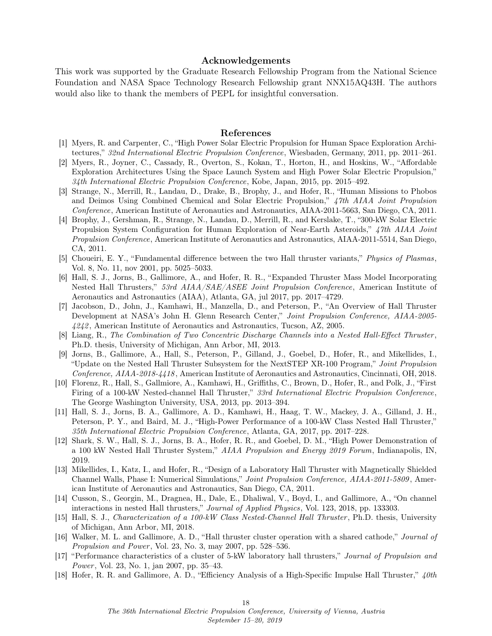#### Acknowledgements

This work was supported by the Graduate Research Fellowship Program from the National Science Foundation and NASA Space Technology Research Fellowship grant NNX15AQ43H. The authors would also like to thank the members of PEPL for insightful conversation.

#### References

- <span id="page-17-0"></span>[1] Myers, R. and Carpenter, C., "High Power Solar Electric Propulsion for Human Space Exploration Architectures," 32nd International Electric Propulsion Conference, Wiesbaden, Germany, 2011, pp. 2011–261.
- <span id="page-17-1"></span>[2] Myers, R., Joyner, C., Cassady, R., Overton, S., Kokan, T., Horton, H., and Hoskins, W., "Affordable Exploration Architectures Using the Space Launch System and High Power Solar Electric Propulsion," 34th International Electric Propulsion Conference, Kobe, Japan, 2015, pp. 2015–492.
- [3] Strange, N., Merrill, R., Landau, D., Drake, B., Brophy, J., and Hofer, R., "Human Missions to Phobos and Deimos Using Combined Chemical and Solar Electric Propulsion," 47th AIAA Joint Propulsion Conference, American Institute of Aeronautics and Astronautics, AIAA-2011-5663, San Diego, CA, 2011.
- <span id="page-17-2"></span>[4] Brophy, J., Gershman, R., Strange, N., Landau, D., Merrill, R., and Kerslake, T., "300-kW Solar Electric Propulsion System Configuration for Human Exploration of Near-Earth Asteroids," 47th AIAA Joint Propulsion Conference, American Institute of Aeronautics and Astronautics, AIAA-2011-5514, San Diego, CA, 2011.
- <span id="page-17-3"></span>[5] Choueiri, E. Y., "Fundamental difference between the two Hall thruster variants," Physics of Plasmas, Vol. 8, No. 11, nov 2001, pp. 5025–5033.
- <span id="page-17-4"></span>[6] Hall, S. J., Jorns, B., Gallimore, A., and Hofer, R. R., "Expanded Thruster Mass Model Incorporating Nested Hall Thrusters," 53rd AIAA/SAE/ASEE Joint Propulsion Conference, American Institute of Aeronautics and Astronautics (AIAA), Atlanta, GA, jul 2017, pp. 2017–4729.
- <span id="page-17-5"></span>[7] Jacobson, D., John, J., Kamhawi, H., Manzella, D., and Peterson, P., "An Overview of Hall Thruster Development at NASA's John H. Glenn Research Center," Joint Propulsion Conference, AIAA-2005- 4242 , American Institute of Aeronautics and Astronautics, Tucson, AZ, 2005.
- <span id="page-17-6"></span>[8] Liang, R., The Combination of Two Concentric Discharge Channels into a Nested Hall-Effect Thruster , Ph.D. thesis, University of Michigan, Ann Arbor, MI, 2013.
- <span id="page-17-7"></span>[9] Jorns, B., Gallimore, A., Hall, S., Peterson, P., Gilland, J., Goebel, D., Hofer, R., and Mikellides, I., "Update on the Nested Hall Thruster Subsystem for the NextSTEP XR-100 Program," Joint Propulsion Conference, AIAA-2018-4418 , American Institute of Aeronautics and Astronautics, Cincinnati, OH, 2018.
- <span id="page-17-8"></span>[10] Florenz, R., Hall, S., Gallmiore, A., Kamhawi, H., Griffiths, C., Brown, D., Hofer, R., and Polk, J., "First Firing of a 100-kW Nested-channel Hall Thruster," 33rd International Electric Propulsion Conference, The George Washington University, USA, 2013, pp. 2013–394.
- <span id="page-17-9"></span>[11] Hall, S. J., Jorns, B. A., Gallimore, A. D., Kamhawi, H., Haag, T. W., Mackey, J. A., Gilland, J. H., Peterson, P. Y., and Baird, M. J., "High-Power Performance of a 100-kW Class Nested Hall Thruster," 35th International Electric Propulsion Conference, Atlanta, GA, 2017, pp. 2017–228.
- <span id="page-17-10"></span>[12] Shark, S. W., Hall, S. J., Jorns, B. A., Hofer, R. R., and Goebel, D. M., "High Power Demonstration of a 100 kW Nested Hall Thruster System," AIAA Propulsion and Energy 2019 Forum, Indianapolis, IN, 2019.
- <span id="page-17-11"></span>[13] Mikellides, I., Katz, I., and Hofer, R., "Design of a Laboratory Hall Thruster with Magnetically Shielded Channel Walls, Phase I: Numerical Simulations," Joint Propulsion Conference, AIAA-2011-5809 , American Institute of Aeronautics and Astronautics, San Diego, CA, 2011.
- <span id="page-17-12"></span>[14] Cusson, S., Georgin, M., Dragnea, H., Dale, E., Dhaliwal, V., Boyd, I., and Gallimore, A., "On channel interactions in nested Hall thrusters," Journal of Applied Physics, Vol. 123, 2018, pp. 133303.
- <span id="page-17-14"></span>[15] Hall, S. J., Characterization of a 100-kW Class Nested-Channel Hall Thruster , Ph.D. thesis, University of Michigan, Ann Arbor, MI, 2018.
- [16] Walker, M. L. and Gallimore, A. D., "Hall thruster cluster operation with a shared cathode," Journal of Propulsion and Power, Vol. 23, No. 3, may 2007, pp. 528–536.
- <span id="page-17-13"></span>[17] "Performance characteristics of a cluster of 5-kW laboratory hall thrusters," Journal of Propulsion and Power, Vol. 23, No. 1, jan 2007, pp. 35–43.
- <span id="page-17-15"></span>[18] Hofer, R. R. and Gallimore, A. D., "Efficiency Analysis of a High-Specific Impulse Hall Thruster," 40th